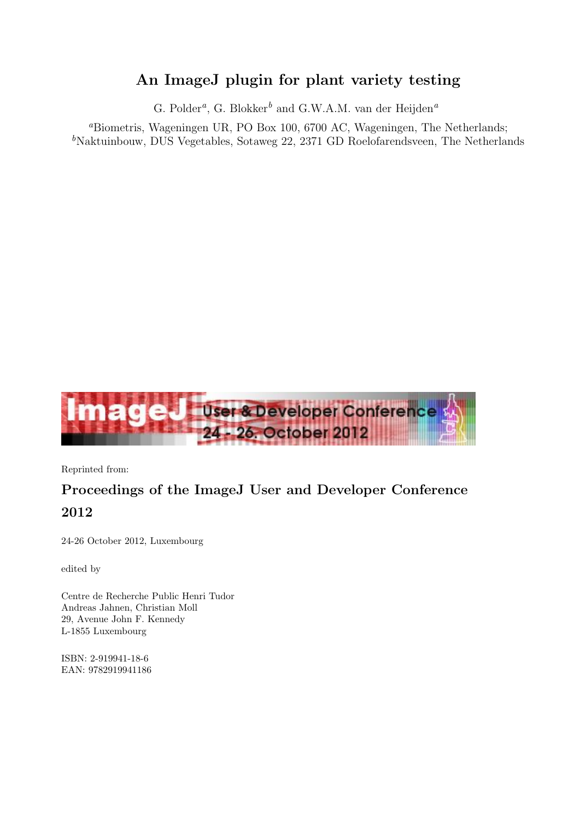# An ImageJ plugin for plant variety testing

G. Polder*a*, G. Blokker*<sup>b</sup>* and G.W.A.M. van der Heijden*<sup>a</sup>*

*<sup>a</sup>*Biometris, Wageningen UR, PO Box 100, 6700 AC, Wageningen, The Netherlands; <sup>b</sup>Naktuinbouw, DUS Vegetables, Sotaweg 22, 2371 GD Roelofarendsveen, The Netherlands



Reprinted from:

# Proceedings of the ImageJ User and Developer Conference 2012

24-26 October 2012, Luxembourg

edited by

Centre de Recherche Public Henri Tudor Andreas Jahnen, Christian Moll 29, Avenue John F. Kennedy L-1855 Luxembourg

ISBN: 2-919941-18-6 EAN: 9782919941186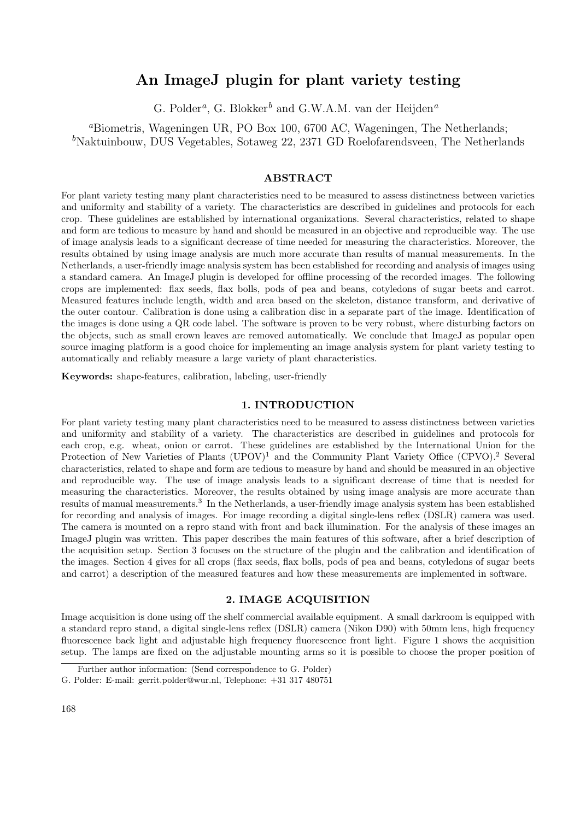# An ImageJ plugin for plant variety testing

G. Polder*a*, G. Blokker*<sup>b</sup>* and G.W.A.M. van der Heijden*<sup>a</sup>*

*<sup>a</sup>*Biometris, Wageningen UR, PO Box 100, 6700 AC, Wageningen, The Netherlands; <sup>b</sup>Naktuinbouw, DUS Vegetables, Sotaweg 22, 2371 GD Roelofarendsveen, The Netherlands

# ABSTRACT

For plant variety testing many plant characteristics need to be measured to assess distinctness between varieties and uniformity and stability of a variety. The characteristics are described in guidelines and protocols for each crop. These guidelines are established by international organizations. Several characteristics, related to shape and form are tedious to measure by hand and should be measured in an objective and reproducible way. The use of image analysis leads to a significant decrease of time needed for measuring the characteristics. Moreover, the results obtained by using image analysis are much more accurate than results of manual measurements. In the Netherlands, a user-friendly image analysis system has been established for recording and analysis of images using a standard camera. An ImageJ plugin is developed for offline processing of the recorded images. The following crops are implemented: flax seeds, flax bolls, pods of pea and beans, cotyledons of sugar beets and carrot. Measured features include length, width and area based on the skeleton, distance transform, and derivative of the outer contour. Calibration is done using a calibration disc in a separate part of the image. Identification of the images is done using a QR code label. The software is proven to be very robust, where disturbing factors on the objects, such as small crown leaves are removed automatically. We conclude that ImageJ as popular open source imaging platform is a good choice for implementing an image analysis system for plant variety testing to automatically and reliably measure a large variety of plant characteristics.

Keywords: shape-features, calibration, labeling, user-friendly

#### 1. INTRODUCTION

For plant variety testing many plant characteristics need to be measured to assess distinctness between varieties and uniformity and stability of a variety. The characteristics are described in guidelines and protocols for each crop, e.g. wheat, onion or carrot. These guidelines are established by the International Union for the Protection of New Varieties of Plants  $(UPOV)^1$  and the Community Plant Variety Office  $(CPVO)^2$  Several characteristics, related to shape and form are tedious to measure by hand and should be measured in an objective and reproducible way. The use of image analysis leads to a significant decrease of time that is needed for measuring the characteristics. Moreover, the results obtained by using image analysis are more accurate than results of manual measurements.<sup>3</sup> In the Netherlands, a user-friendly image analysis system has been established for recording and analysis of images. For image recording a digital single-lens reflex (DSLR) camera was used. The camera is mounted on a repro stand with front and back illumination. For the analysis of these images an ImageJ plugin was written. This paper describes the main features of this software, after a brief description of the acquisition setup. Section 3 focuses on the structure of the plugin and the calibration and identification of the images. Section 4 gives for all crops (flax seeds, flax bolls, pods of pea and beans, cotyledons of sugar beets and carrot) a description of the measured features and how these measurements are implemented in software.

## 2. IMAGE ACQUISITION

Image acquisition is done using off the shelf commercial available equipment. A small darkroom is equipped with a standard repro stand, a digital single-lens reflex (DSLR) camera (Nikon D90) with 50mm lens, high frequency fluorescence back light and adjustable high frequency fluorescence front light. Figure 1 shows the acquisition setup. The lamps are fixed on the adjustable mounting arms so it is possible to choose the proper position of

Further author information: (Send correspondence to G. Polder)

G. Polder: E-mail: gerrit.polder@wur.nl, Telephone: +31 317 480751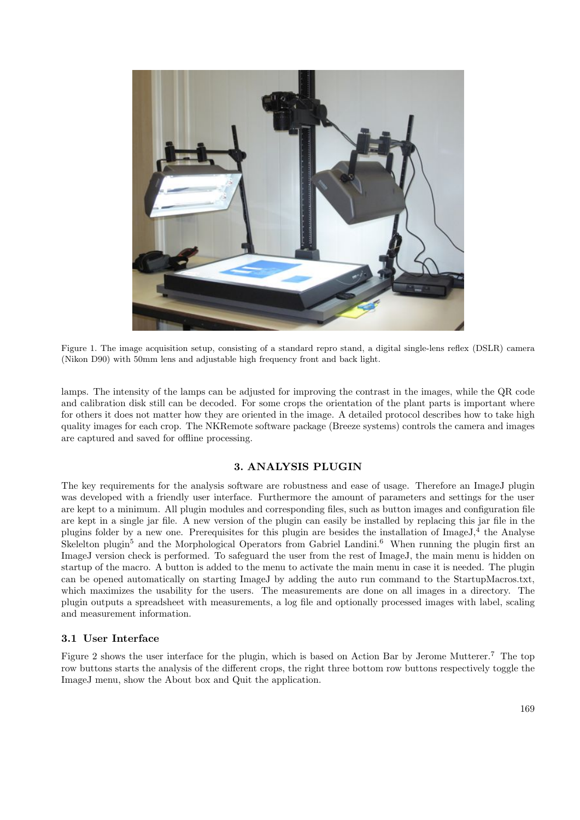

Figure 1. The image acquisition setup, consisting of a standard repro stand, a digital single-lens reflex (DSLR) camera (Nikon D90) with 50mm lens and adjustable high frequency front and back light.

lamps. The intensity of the lamps can be adjusted for improving the contrast in the images, while the QR code and calibration disk still can be decoded. For some crops the orientation of the plant parts is important where for others it does not matter how they are oriented in the image. A detailed protocol describes how to take high quality images for each crop. The NKRemote software package (Breeze systems) controls the camera and images are captured and saved for offline processing.

# 3. ANALYSIS PLUGIN

The key requirements for the analysis software are robustness and ease of usage. Therefore an ImageJ plugin was developed with a friendly user interface. Furthermore the amount of parameters and settings for the user are kept to a minimum. All plugin modules and corresponding files, such as button images and configuration file are kept in a single jar file. A new version of the plugin can easily be installed by replacing this jar file in the plugins folder by a new one. Prerequisites for this plugin are besides the installation of ImageJ,<sup>4</sup> the Analyse Skelelton plugin<sup>5</sup> and the Morphological Operators from Gabriel Landini.<sup>6</sup> When running the plugin first an ImageJ version check is performed. To safeguard the user from the rest of ImageJ, the main menu is hidden on startup of the macro. A button is added to the menu to activate the main menu in case it is needed. The plugin can be opened automatically on starting ImageJ by adding the auto run command to the StartupMacros.txt, which maximizes the usability for the users. The measurements are done on all images in a directory. The plugin outputs a spreadsheet with measurements, a log file and optionally processed images with label, scaling and measurement information.

#### 3.1 User Interface

Figure 2 shows the user interface for the plugin, which is based on Action Bar by Jerome Mutterer.<sup>7</sup> The top row buttons starts the analysis of the different crops, the right three bottom row buttons respectively toggle the ImageJ menu, show the About box and Quit the application.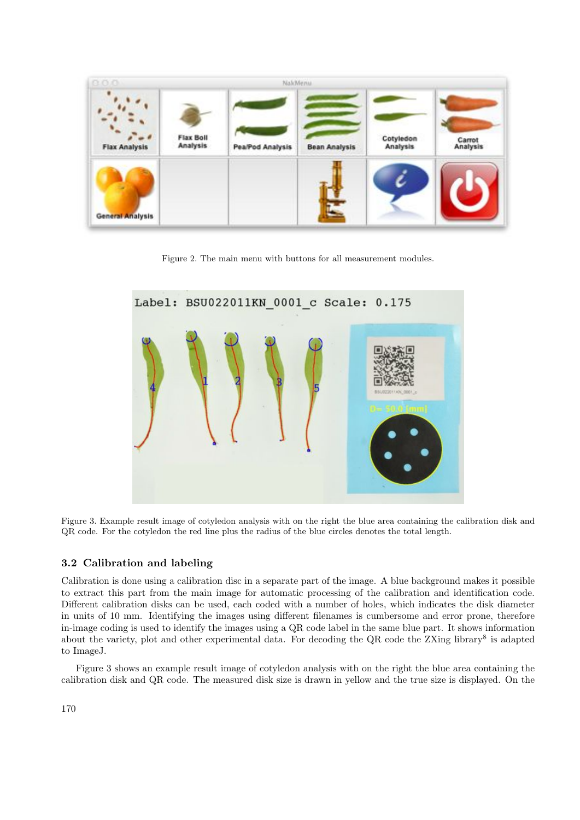

Figure 2. The main menu with buttons for all measurement modules.



Figure 3. Example result image of cotyledon analysis with on the right the blue area containing the calibration disk and QR code. For the cotyledon the red line plus the radius of the blue circles denotes the total length.

# 3.2 Calibration and labeling

Calibration is done using a calibration disc in a separate part of the image. A blue background makes it possible to extract this part from the main image for automatic processing of the calibration and identification code. Different calibration disks can be used, each coded with a number of holes, which indicates the disk diameter in units of 10 mm. Identifying the images using different filenames is cumbersome and error prone, therefore in-image coding is used to identify the images using a QR code label in the same blue part. It shows information about the variety, plot and other experimental data. For decoding the QR code the ZXing library<sup>8</sup> is adapted to ImageJ.

Figure 3 shows an example result image of cotyledon analysis with on the right the blue area containing the calibration disk and QR code. The measured disk size is drawn in yellow and the true size is displayed. On the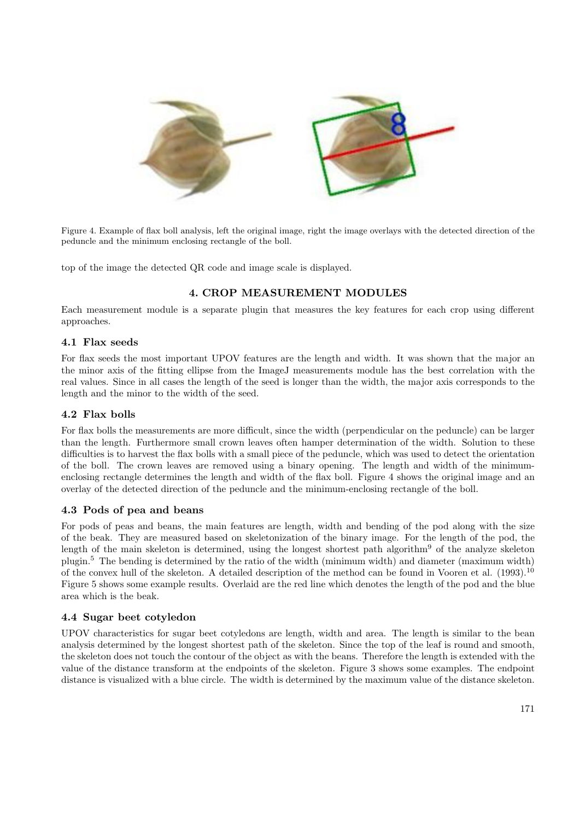

Figure 4. Example of flax boll analysis, left the original image, right the image overlays with the detected direction of the peduncle and the minimum enclosing rectangle of the boll.

top of the image the detected QR code and image scale is displayed.

# 4. CROP MEASUREMENT MODULES

Each measurement module is a separate plugin that measures the key features for each crop using different approaches.

# 4.1 Flax seeds

For flax seeds the most important UPOV features are the length and width. It was shown that the major an the minor axis of the fitting ellipse from the ImageJ measurements module has the best correlation with the real values. Since in all cases the length of the seed is longer than the width, the major axis corresponds to the length and the minor to the width of the seed.

# 4.2 Flax bolls

For flax bolls the measurements are more difficult, since the width (perpendicular on the peduncle) can be larger than the length. Furthermore small crown leaves often hamper determination of the width. Solution to these difficulties is to harvest the flax bolls with a small piece of the peduncle, which was used to detect the orientation of the boll. The crown leaves are removed using a binary opening. The length and width of the minimumenclosing rectangle determines the length and width of the flax boll. Figure 4 shows the original image and an overlay of the detected direction of the peduncle and the minimum-enclosing rectangle of the boll.

# 4.3 Pods of pea and beans

For pods of peas and beans, the main features are length, width and bending of the pod along with the size of the beak. They are measured based on skeletonization of the binary image. For the length of the pod, the length of the main skeleton is determined, using the longest shortest path algorithm<sup>9</sup> of the analyze skeleton plugin.<sup>5</sup> The bending is determined by the ratio of the width (minimum width) and diameter (maximum width) of the convex hull of the skeleton. A detailed description of the method can be found in Vooren et al. (1993).<sup>10</sup> Figure 5 shows some example results. Overlaid are the red line which denotes the length of the pod and the blue area which is the beak.

# 4.4 Sugar beet cotyledon

UPOV characteristics for sugar beet cotyledons are length, width and area. The length is similar to the bean analysis determined by the longest shortest path of the skeleton. Since the top of the leaf is round and smooth, the skeleton does not touch the contour of the object as with the beans. Therefore the length is extended with the value of the distance transform at the endpoints of the skeleton. Figure 3 shows some examples. The endpoint distance is visualized with a blue circle. The width is determined by the maximum value of the distance skeleton.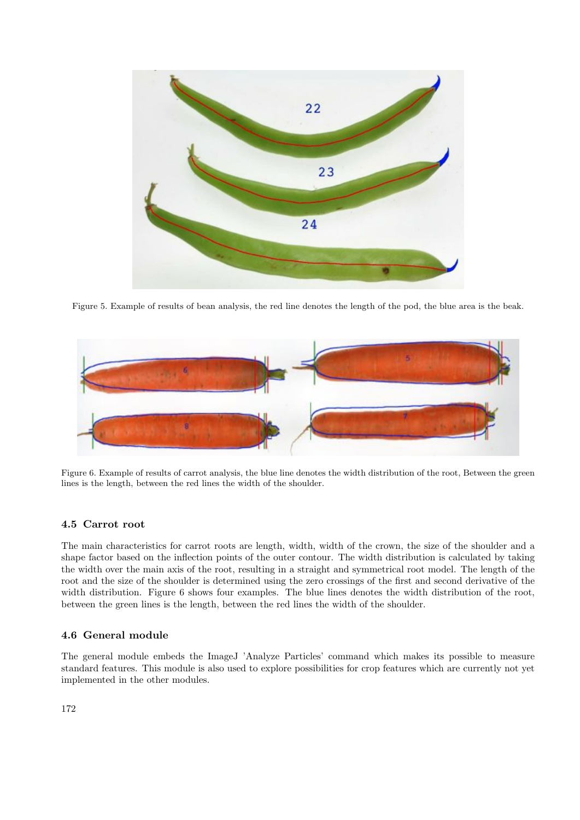

Figure 5. Example of results of bean analysis, the red line denotes the length of the pod, the blue area is the beak.



Figure 6. Example of results of carrot analysis, the blue line denotes the width distribution of the root, Between the green lines is the length, between the red lines the width of the shoulder.

# 4.5 Carrot root

The main characteristics for carrot roots are length, width, width of the crown, the size of the shoulder and a shape factor based on the inflection points of the outer contour. The width distribution is calculated by taking the width over the main axis of the root, resulting in a straight and symmetrical root model. The length of the root and the size of the shoulder is determined using the zero crossings of the first and second derivative of the width distribution. Figure 6 shows four examples. The blue lines denotes the width distribution of the root, between the green lines is the length, between the red lines the width of the shoulder.

# 4.6 General module

The general module embeds the ImageJ 'Analyze Particles' command which makes its possible to measure standard features. This module is also used to explore possibilities for crop features which are currently not yet implemented in the other modules.